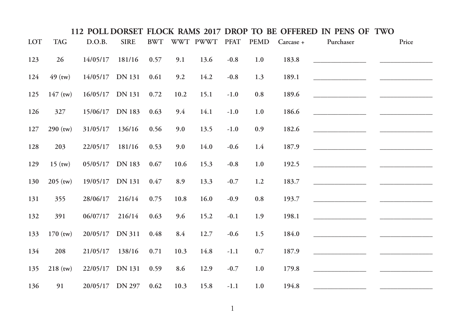|            |            |                 |               |            |      |               |        |             |           | 112 POLL DORSET FLOCK RAMS 2017 DROP TO BE OFFERED IN PENS OF TWO |       |
|------------|------------|-----------------|---------------|------------|------|---------------|--------|-------------|-----------|-------------------------------------------------------------------|-------|
| <b>LOT</b> | <b>TAG</b> | D.O.B.          | <b>SIRE</b>   | <b>BWT</b> |      | WWT PWWT PFAT |        | <b>PEMD</b> | Carcase + | Purchaser                                                         | Price |
| 123        | 26         | 14/05/17        | 181/16        | 0.57       | 9.1  | 13.6          | $-0.8$ | 1.0         | 183.8     |                                                                   |       |
| 124        | $49$ (tw)  | 14/05/17 DN 131 |               | 0.61       | 9.2  | 14.2          | $-0.8$ | 1.3         | 189.1     |                                                                   |       |
| 125        | $147$ (tw) | 16/05/17 DN 131 |               | 0.72       | 10.2 | 15.1          | $-1.0$ | $0.8\,$     | 189.6     |                                                                   |       |
| 126        | 327        | 15/06/17        | DN 183        | 0.63       | 9.4  | 14.1          | $-1.0$ | 1.0         | 186.6     |                                                                   |       |
| 127        | $290$ (tw) | 31/05/17        | 136/16        | 0.56       | 9.0  | 13.5          | $-1.0$ | 0.9         | 182.6     |                                                                   |       |
| 128        | 203        | 22/05/17        | 181/16        | 0.53       | 9.0  | 14.0          | $-0.6$ | 1.4         | 187.9     |                                                                   |       |
| 129        | $15$ (tw)  | 05/05/17        | <b>DN</b> 183 | 0.67       | 10.6 | 15.3          | $-0.8$ | 1.0         | 192.5     |                                                                   |       |
| 130        | $205$ (tw) | 19/05/17 DN 131 |               | 0.47       | 8.9  | 13.3          | $-0.7$ | 1.2         | 183.7     |                                                                   |       |
| 131        | 355        | 28/06/17        | 216/14        | 0.75       | 10.8 | 16.0          | $-0.9$ | $\rm 0.8$   | 193.7     |                                                                   |       |
| 132        | 391        | 06/07/17        | 216/14        | 0.63       | 9.6  | 15.2          | $-0.1$ | 1.9         | 198.1     |                                                                   |       |
| 133        | $170$ (tw) | 20/05/17        | <b>DN</b> 311 | 0.48       | 8.4  | 12.7          | $-0.6$ | 1.5         | 184.0     |                                                                   |       |
| 134        | 208        | 21/05/17        | 138/16        | 0.71       | 10.3 | 14.8          | $-1.1$ | $0.7\,$     | 187.9     |                                                                   |       |
| 135        | $218$ (tw) | 22/05/17        | <b>DN</b> 131 | 0.59       | 8.6  | 12.9          | $-0.7$ | 1.0         | 179.8     |                                                                   |       |
| 136        | 91         | 20/05/17 DN 297 |               | 0.62       | 10.3 | 15.8          | $-1.1$ | 1.0         | 194.8     |                                                                   |       |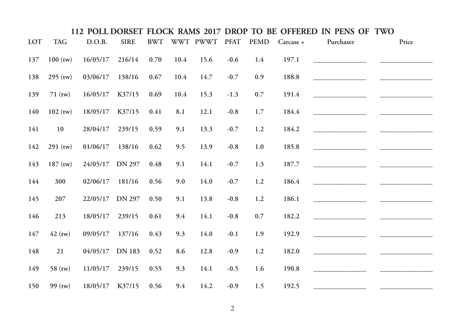|            |            |          |               |            |      |               |        |             |           | 112 POLL DORSET FLOCK RAMS 2017 DROP TO BE OFFERED IN PENS OF TWO |       |
|------------|------------|----------|---------------|------------|------|---------------|--------|-------------|-----------|-------------------------------------------------------------------|-------|
| <b>LOT</b> | <b>TAG</b> | D.O.B.   | <b>SIRE</b>   | <b>BWT</b> |      | WWT PWWT PFAT |        | <b>PEMD</b> | Carcase + | Purchaser                                                         | Price |
| 137        | $100$ (tw) | 16/05/17 | 216/14        | 0.70       | 10.4 | 15.6          | $-0.6$ | 1.4         | 197.1     |                                                                   |       |
| 138        | $295$ (tw) | 03/06/17 | 138/16        | 0.67       | 10.4 | 14.7          | $-0.7$ | 0.9         | 188.8     |                                                                   |       |
| 139        | $71$ (tw)  | 16/05/17 | K37/15        | 0.69       | 10.4 | 15.3          | $-1.3$ | 0.7         | 191.4     |                                                                   |       |
| 140        | $102$ (tw) | 18/05/17 | K37/15        | 0.41       | 8.1  | 12.1          | $-0.8$ | 1.7         | 184.4     |                                                                   |       |
| 141        | 10         | 28/04/17 | 239/15        | 0.59       | 9.1  | 13.3          | $-0.7$ | 1.2         | 184.2     |                                                                   |       |
| 142        | $291$ (tw) | 01/06/17 | 138/16        | 0.62       | 9.5  | 13.9          | $-0.8$ | $1.0\,$     | 185.8     |                                                                   |       |
| 143        | $187$ (tw) | 24/05/17 | <b>DN 297</b> | 0.48       | 9.1  | 14.1          | $-0.7$ | 1.3         | 187.7     |                                                                   |       |
| 144        | 300        | 02/06/17 | 181/16        | 0.56       | 9.0  | 14.0          | $-0.7$ | $1.2$       | 186.4     |                                                                   |       |
| 145        | 207        | 22/05/17 | <b>DN 297</b> | 0.50       | 9.1  | 13.8          | $-0.8$ | 1.2         | 186.1     |                                                                   |       |
| 146        | 213        | 18/05/17 | 239/15        | 0.61       | 9.4  | 14.1          | $-0.8$ | $0.7\,$     | 182.2     |                                                                   |       |
| 147        | $42$ (tw)  | 09/05/17 | 137/16        | 0.43       | 9.3  | 14.0          | $-0.1$ | 1.9         | 192.9     |                                                                   |       |
| 148        | 21         | 04/05/17 | DN 183        | 0.52       | 8.6  | 12.8          | $-0.9$ | 1.2         | 182.0     |                                                                   |       |
| 149        | $58$ (tw)  | 11/05/17 | 239/15        | 0.55       | 9.3  | 14.1          | $-0.5$ | 1.6         | 190.8     |                                                                   |       |
| 150        | $99$ (tw)  | 18/05/17 | K37/15        | 0.56       | 9.4  | 14.2          | $-0.9$ | 1.5         | 192.5     |                                                                   |       |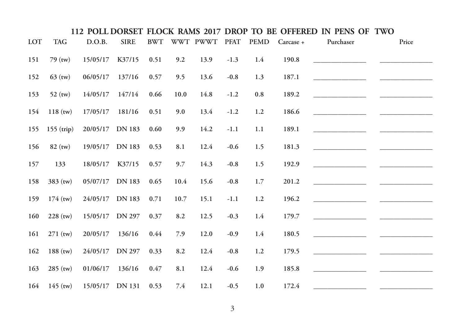|     |              |                 |               |            |      |               |        |             |           | 112 POLL DORSET FLOCK RAMS 2017 DROP TO BE OFFERED IN PENS OF TWO |       |
|-----|--------------|-----------------|---------------|------------|------|---------------|--------|-------------|-----------|-------------------------------------------------------------------|-------|
| LOT | <b>TAG</b>   | D.O.B.          | <b>SIRE</b>   | <b>BWT</b> |      | WWT PWWT PFAT |        | <b>PEMD</b> | Carcase + | Purchaser                                                         | Price |
| 151 | $79$ (tw)    | 15/05/17        | K37/15        | 0.51       | 9.2  | 13.9          | $-1.3$ | 1.4         | 190.8     |                                                                   |       |
| 152 | $63$ (tw)    | 06/05/17        | 137/16        | 0.57       | 9.5  | 13.6          | $-0.8$ | 1.3         | 187.1     |                                                                   |       |
| 153 | $52$ (tw)    | 14/05/17        | 147/14        | 0.66       | 10.0 | 14.8          | $-1.2$ | $0.8\,$     | 189.2     |                                                                   |       |
| 154 | $118$ (tw)   | 17/05/17        | 181/16        | 0.51       | 9.0  | 13.4          | $-1.2$ | 1.2         | 186.6     |                                                                   |       |
| 155 | $155$ (trip) | 20/05/17        | <b>DN 183</b> | 0.60       | 9.9  | 14.2          | $-1.1$ | 1.1         | 189.1     |                                                                   |       |
| 156 | $82$ (tw)    | 19/05/17 DN 183 |               | 0.53       | 8.1  | 12.4          | $-0.6$ | 1.5         | 181.3     |                                                                   |       |
| 157 | 133          | 18/05/17        | K37/15        | 0.57       | 9.7  | 14.3          | $-0.8$ | 1.5         | 192.9     |                                                                   |       |
| 158 | $383$ (tw)   | 05/07/17 DN 183 |               | 0.65       | 10.4 | 15.6          | $-0.8$ | 1.7         | 201.2     |                                                                   |       |
| 159 | $174$ (tw)   | 24/05/17 DN 183 |               | 0.71       | 10.7 | 15.1          | $-1.1$ | 1.2         | 196.2     |                                                                   |       |
| 160 | $228$ (tw)   | 15/05/17 DN 297 |               | 0.37       | 8.2  | 12.5          | $-0.3$ | 1.4         | 179.7     |                                                                   |       |
| 161 | $271$ (tw)   | 20/05/17        | 136/16        | 0.44       | 7.9  | 12.0          | $-0.9$ | 1.4         | 180.5     |                                                                   |       |
| 162 | $188$ (tw)   | 24/05/17 DN 297 |               | 0.33       | 8.2  | 12.4          | $-0.8$ | $1.2\,$     | 179.5     |                                                                   |       |
| 163 | $285$ (tw)   | 01/06/17        | 136/16        | 0.47       | 8.1  | 12.4          | $-0.6$ | 1.9         | 185.8     |                                                                   |       |
| 164 | $145$ (tw)   | 15/05/17 DN 131 |               | 0.53       | 7.4  | 12.1          | $-0.5$ | 1.0         | 172.4     |                                                                   |       |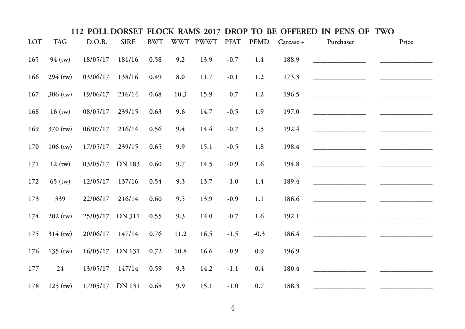|     |            |                 |               |            |      |               |        |             |           | 112 POLL DORSET FLOCK RAMS 2017 DROP TO BE OFFERED IN PENS OF TWO |       |
|-----|------------|-----------------|---------------|------------|------|---------------|--------|-------------|-----------|-------------------------------------------------------------------|-------|
| LOT | <b>TAG</b> | D.O.B.          | <b>SIRE</b>   | <b>BWT</b> |      | WWT PWWT PFAT |        | <b>PEMD</b> | Carcase + | Purchaser                                                         | Price |
| 165 | $94$ (tw)  | 18/05/17        | 181/16        | 0.58       | 9.2  | 13.9          | $-0.7$ | 1.4         | 188.9     |                                                                   |       |
| 166 | $294$ (tw) | 03/06/17        | 138/16        | 0.49       | 8.0  | 11.7          | $-0.1$ | 1.2         | 173.3     |                                                                   |       |
| 167 | $306$ (tw) | 19/06/17        | 216/14        | 0.68       | 10.3 | 15.9          | $-0.7$ | 1.2         | 196.5     |                                                                   |       |
| 168 | $16$ (tw)  | 08/05/17        | 239/15        | 0.63       | 9.6  | 14.7          | $-0.5$ | 1.9         | 197.0     |                                                                   |       |
| 169 | $370$ (tw) | 06/07/17        | 216/14        | 0.56       | 9.4  | 14.4          | $-0.7$ | 1.5         | 192.4     |                                                                   |       |
| 170 | $106$ (tw) | 17/05/17        | 239/15        | 0.65       | 9.9  | 15.1          | $-0.5$ | 1.8         | 198.4     |                                                                   |       |
| 171 | $12$ (tw)  | 03/05/17        | <b>DN 183</b> | 0.60       | 9.7  | 14.5          | $-0.9$ | 1.6         | 194.8     |                                                                   |       |
| 172 | $65$ (tw)  | 12/05/17        | 137/16        | 0.54       | 9.3  | 13.7          | $-1.0$ | 1.4         | 189.4     |                                                                   |       |
| 173 | 339        | 22/06/17        | 216/14        | 0.60       | 9.5  | 13.9          | $-0.9$ | 1.1         | 186.6     |                                                                   |       |
| 174 | $202$ (tw) | 25/05/17 DN 311 |               | 0.55       | 9.3  | 14.0          | $-0.7$ | 1.6         | 192.1     |                                                                   |       |
| 175 | $314$ (tw) | 20/06/17        | 147/14        | 0.76       | 11.2 | 16.5          | $-1.5$ | $-0.3$      | 186.4     |                                                                   |       |
| 176 | $135$ (tw) | 16/05/17 DN 131 |               | 0.72       | 10.8 | 16.6          | $-0.9$ | 0.9         | 196.9     |                                                                   |       |
| 177 | 24         | 13/05/17        | 147/14        | 0.59       | 9.3  | 14.2          | $-1.1$ | 0.4         | 180.4     |                                                                   |       |
| 178 | $125$ (tw) | 17/05/17 DN 131 |               | 0.68       | 9.9  | 15.1          | $-1.0$ | 0.7         | 188.3     |                                                                   |       |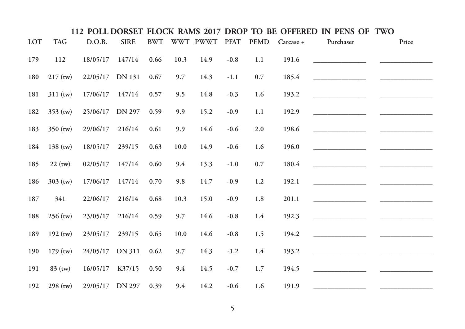|     |            |                 |               |            |      |               |        |             |           | 112 POLL DORSET FLOCK RAMS 2017 DROP TO BE OFFERED IN PENS OF TWO |       |
|-----|------------|-----------------|---------------|------------|------|---------------|--------|-------------|-----------|-------------------------------------------------------------------|-------|
| LOT | <b>TAG</b> | D.O.B.          | <b>SIRE</b>   | <b>BWT</b> |      | WWT PWWT PFAT |        | <b>PEMD</b> | Carcase + | Purchaser                                                         | Price |
| 179 | 112        | 18/05/17        | 147/14        | 0.66       | 10.3 | 14.9          | $-0.8$ | 1.1         | 191.6     |                                                                   |       |
| 180 | $217$ (tw) | 22/05/17        | <b>DN</b> 131 | 0.67       | 9.7  | 14.3          | $-1.1$ | 0.7         | 185.4     |                                                                   |       |
| 181 | $311$ (tw) | 17/06/17        | 147/14        | 0.57       | 9.5  | 14.8          | $-0.3$ | 1.6         | 193.2     |                                                                   |       |
| 182 | $353$ (tw) | 25/06/17        | <b>DN 297</b> | 0.59       | 9.9  | 15.2          | $-0.9$ | 1.1         | 192.9     |                                                                   |       |
| 183 | $350$ (tw) | 29/06/17        | 216/14        | 0.61       | 9.9  | 14.6          | $-0.6$ | 2.0         | 198.6     |                                                                   |       |
| 184 | $138$ (tw) | 18/05/17        | 239/15        | 0.63       | 10.0 | 14.9          | $-0.6$ | 1.6         | 196.0     |                                                                   |       |
| 185 | $22$ (tw)  | 02/05/17        | 147/14        | 0.60       | 9.4  | 13.3          | $-1.0$ | 0.7         | 180.4     |                                                                   |       |
| 186 | $303$ (tw) | 17/06/17        | 147/14        | 0.70       | 9.8  | 14.7          | $-0.9$ | 1.2         | 192.1     |                                                                   |       |
| 187 | 341        | 22/06/17        | 216/14        | 0.68       | 10.3 | 15.0          | $-0.9$ | 1.8         | 201.1     |                                                                   |       |
| 188 | $256$ (tw) | 23/05/17        | 216/14        | 0.59       | 9.7  | 14.6          | $-0.8$ | 1.4         | 192.3     |                                                                   |       |
| 189 | $192$ (tw) | 23/05/17        | 239/15        | 0.65       | 10.0 | 14.6          | $-0.8$ | 1.5         | 194.2     |                                                                   |       |
| 190 | $179$ (tw) | 24/05/17 DN 311 |               | 0.62       | 9.7  | 14.3          | $-1.2$ | 1.4         | 193.2     |                                                                   |       |
| 191 | $83$ (tw)  | 16/05/17        | K37/15        | 0.50       | 9.4  | 14.5          | $-0.7$ | 1.7         | 194.5     |                                                                   |       |
| 192 | $298$ (tw) | 29/05/17 DN 297 |               | 0.39       | 9.4  | 14.2          | $-0.6$ | 1.6         | 191.9     |                                                                   |       |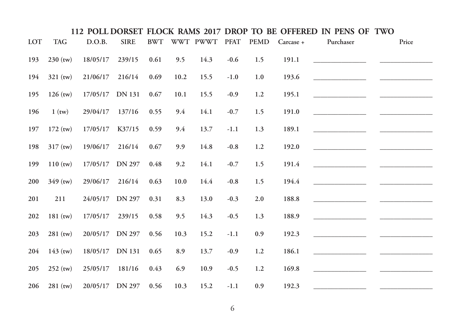|     |            |                 |               |            |      |               |        |             |           | 112 POLL DORSET FLOCK RAMS 2017 DROP TO BE OFFERED IN PENS OF TWO |       |
|-----|------------|-----------------|---------------|------------|------|---------------|--------|-------------|-----------|-------------------------------------------------------------------|-------|
| LOT | <b>TAG</b> | D.O.B.          | <b>SIRE</b>   | <b>BWT</b> |      | WWT PWWT PFAT |        | <b>PEMD</b> | Carcase + | Purchaser                                                         | Price |
| 193 | $230$ (tw) | 18/05/17        | 239/15        | 0.61       | 9.5  | 14.3          | $-0.6$ | 1.5         | 191.1     |                                                                   |       |
| 194 | $321$ (tw) | 21/06/17        | 216/14        | 0.69       | 10.2 | 15.5          | $-1.0$ | 1.0         | 193.6     |                                                                   |       |
| 195 | $126$ (tw) | 17/05/17        | <b>DN</b> 131 | 0.67       | 10.1 | 15.5          | $-0.9$ | 1.2         | 195.1     |                                                                   |       |
| 196 | $1$ (tw)   | 29/04/17        | 137/16        | 0.55       | 9.4  | 14.1          | $-0.7$ | 1.5         | 191.0     |                                                                   |       |
| 197 | $172$ (tw) | 17/05/17        | K37/15        | 0.59       | 9.4  | 13.7          | $-1.1$ | 1.3         | 189.1     |                                                                   |       |
| 198 | $317$ (tw) | 19/06/17        | 216/14        | 0.67       | 9.9  | 14.8          | $-0.8$ | 1.2         | 192.0     |                                                                   |       |
| 199 | $110$ (tw) | 17/05/17 DN 297 |               | 0.48       | 9.2  | 14.1          | $-0.7$ | 1.5         | 191.4     |                                                                   |       |
| 200 | $349$ (tw) | 29/06/17        | 216/14        | 0.63       | 10.0 | 14.4          | $-0.8$ | 1.5         | 194.4     |                                                                   |       |
| 201 | 211        | 24/05/17        | <b>DN 297</b> | 0.31       | 8.3  | 13.0          | $-0.3$ | $2.0\,$     | 188.8     |                                                                   |       |
| 202 | $181$ (tw) | 17/05/17        | 239/15        | 0.58       | 9.5  | 14.3          | $-0.5$ | 1.3         | 188.9     |                                                                   |       |
| 203 | $281$ (tw) | 20/05/17        | <b>DN 297</b> | 0.56       | 10.3 | 15.2          | $-1.1$ | 0.9         | 192.3     |                                                                   |       |
| 204 | $143$ (tw) | 18/05/17 DN 131 |               | 0.65       | 8.9  | 13.7          | $-0.9$ | 1.2         | 186.1     |                                                                   |       |
| 205 | $252$ (tw) | 25/05/17        | 181/16        | 0.43       | 6.9  | 10.9          | $-0.5$ | 1.2         | 169.8     |                                                                   |       |
| 206 | $281$ (tw) | 20/05/17 DN 297 |               | 0.56       | 10.3 | 15.2          | $-1.1$ | 0.9         | 192.3     |                                                                   |       |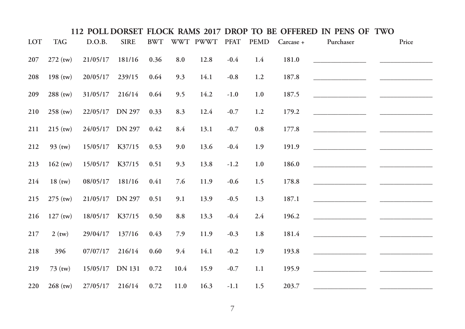|            |            |          |               |            |      |               |        |             |           | 112 POLL DORSET FLOCK RAMS 2017 DROP TO BE OFFERED IN PENS OF TWO |       |  |
|------------|------------|----------|---------------|------------|------|---------------|--------|-------------|-----------|-------------------------------------------------------------------|-------|--|
| <b>LOT</b> | <b>TAG</b> | D.O.B.   | <b>SIRE</b>   | <b>BWT</b> |      | WWT PWWT PFAT |        | <b>PEMD</b> | Carcase + | Purchaser                                                         | Price |  |
| 207        | $272$ (tw) | 21/05/17 | 181/16        | 0.36       | 8.0  | 12.8          | $-0.4$ | 1.4         | 181.0     |                                                                   |       |  |
| 208        | $198$ (tw) | 20/05/17 | 239/15        | 0.64       | 9.3  | 14.1          | $-0.8$ | 1.2         | 187.8     |                                                                   |       |  |
| 209        | $288$ (tw) | 31/05/17 | 216/14        | 0.64       | 9.5  | 14.2          | $-1.0$ | 1.0         | 187.5     |                                                                   |       |  |
| 210        | $258$ (tw) | 22/05/17 | <b>DN 297</b> | 0.33       | 8.3  | 12.4          | $-0.7$ | 1.2         | 179.2     |                                                                   |       |  |
| 211        | $215$ (tw) | 24/05/17 | <b>DN 297</b> | 0.42       | 8.4  | 13.1          | $-0.7$ | 0.8         | 177.8     |                                                                   |       |  |
| 212        | $93$ (tw)  | 15/05/17 | K37/15        | 0.53       | 9.0  | 13.6          | $-0.4$ | 1.9         | 191.9     |                                                                   |       |  |
| 213        | $162$ (tw) | 15/05/17 | K37/15        | 0.51       | 9.3  | 13.8          | $-1.2$ | 1.0         | 186.0     |                                                                   |       |  |
| 214        | $18$ (tw)  | 08/05/17 | 181/16        | 0.41       | 7.6  | 11.9          | $-0.6$ | 1.5         | 178.8     |                                                                   |       |  |
| 215        | $275$ (tw) | 21/05/17 | <b>DN 297</b> | 0.51       | 9.1  | 13.9          | $-0.5$ | 1.3         | 187.1     |                                                                   |       |  |
| 216        | $127$ (tw) | 18/05/17 | K37/15        | 0.50       | 8.8  | 13.3          | $-0.4$ | 2.4         | 196.2     |                                                                   |       |  |
| 217        | $2$ (tw)   | 29/04/17 | 137/16        | 0.43       | 7.9  | 11.9          | $-0.3$ | 1.8         | 181.4     |                                                                   |       |  |
| 218        | 396        | 07/07/17 | 216/14        | 0.60       | 9.4  | 14.1          | $-0.2$ | 1.9         | 193.8     |                                                                   |       |  |
| 219        | 73 (tw)    | 15/05/17 | <b>DN</b> 131 | 0.72       | 10.4 | 15.9          | $-0.7$ | 1.1         | 195.9     |                                                                   |       |  |
| 220        | $268$ (tw) | 27/05/17 | 216/14        | 0.72       | 11.0 | 16.3          | $-1.1$ | 1.5         | 203.7     |                                                                   |       |  |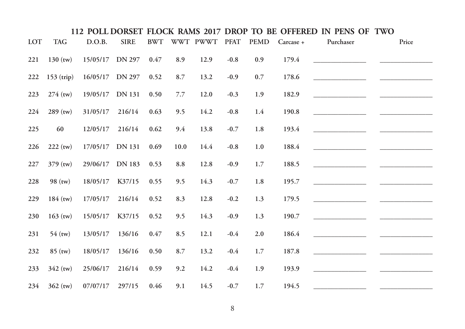|            |              |                 |             |            |      |               |        |             |           | 112 POLL DORSET FLOCK RAMS 2017 DROP TO BE OFFERED IN PENS OF TWO |       |
|------------|--------------|-----------------|-------------|------------|------|---------------|--------|-------------|-----------|-------------------------------------------------------------------|-------|
| <b>LOT</b> | <b>TAG</b>   | D.O.B.          | <b>SIRE</b> | <b>BWT</b> |      | WWT PWWT PFAT |        | <b>PEMD</b> | Carcase + | Purchaser                                                         | Price |
| 221        | $130$ (tw)   | 15/05/17 DN 297 |             | 0.47       | 8.9  | 12.9          | $-0.8$ | 0.9         | 179.4     |                                                                   |       |
| 222        | $153$ (trip) | 16/05/17 DN 297 |             | 0.52       | 8.7  | 13.2          | $-0.9$ | 0.7         | 178.6     |                                                                   |       |
| 223        | $274$ (tw)   | 19/05/17 DN 131 |             | 0.50       | 7.7  | 12.0          | $-0.3$ | 1.9         | 182.9     |                                                                   |       |
| 224        | $289$ (tw)   | 31/05/17        | 216/14      | 0.63       | 9.5  | 14.2          | $-0.8$ | 1.4         | 190.8     |                                                                   |       |
| 225        | 60           | 12/05/17        | 216/14      | 0.62       | 9.4  | 13.8          | $-0.7$ | 1.8         | 193.4     |                                                                   |       |
| 226        | $222$ (tw)   | 17/05/17 DN 131 |             | 0.69       | 10.0 | 14.4          | $-0.8$ | 1.0         | 188.4     |                                                                   |       |
| 227        | $379$ (tw)   | 29/06/17        | DN 183      | 0.53       | 8.8  | 12.8          | $-0.9$ | 1.7         | 188.5     |                                                                   |       |
| 228        | $98$ (tw)    | 18/05/17        | K37/15      | 0.55       | 9.5  | 14.3          | $-0.7$ | 1.8         | 195.7     |                                                                   |       |
| 229        | $184$ (tw)   | 17/05/17        | 216/14      | 0.52       | 8.3  | 12.8          | $-0.2$ | 1.3         | 179.5     |                                                                   |       |
| 230        | $163$ (tw)   | 15/05/17        | K37/15      | 0.52       | 9.5  | 14.3          | $-0.9$ | 1.3         | 190.7     |                                                                   |       |
| 231        | $54$ (tw)    | 13/05/17        | 136/16      | 0.47       | 8.5  | 12.1          | $-0.4$ | 2.0         | 186.4     |                                                                   |       |
| 232        | $85$ (tw)    | 18/05/17        | 136/16      | 0.50       | 8.7  | 13.2          | $-0.4$ | 1.7         | 187.8     |                                                                   |       |
| 233        | $342$ (tw)   | 25/06/17        | 216/14      | 0.59       | 9.2  | 14.2          | $-0.4$ | 1.9         | 193.9     |                                                                   |       |
| 234        | $362$ (tw)   | 07/07/17        | 297/15      | 0.46       | 9.1  | 14.5          | $-0.7$ | 1.7         | 194.5     |                                                                   |       |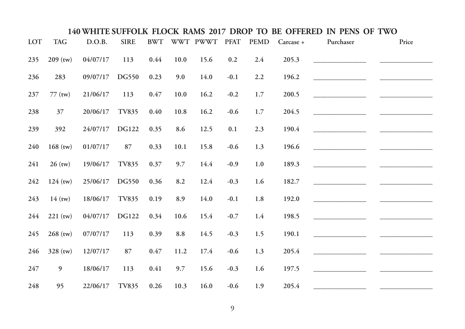| LOT | <b>TAG</b>     | D.O.B.   | <b>SIRE</b>  | <b>BWT</b> |            | WWT PWWT | <b>PFAT</b> | <b>PEMD</b> | Carcase + | Purchaser                           | Price |
|-----|----------------|----------|--------------|------------|------------|----------|-------------|-------------|-----------|-------------------------------------|-------|
| 235 | $209$ (tw)     | 04/07/17 | 113          | 0.44       | 10.0       | 15.6     | 0.2         | 2.4         | 205.3     |                                     |       |
| 236 | 283            | 09/07/17 | DG550        | 0.23       | 9.0        | 14.0     | $-0.1$      | 2.2         | 196.2     |                                     |       |
| 237 | $77$ (tw)      | 21/06/17 | 113          | 0.47       | 10.0       | 16.2     | $-0.2$      | $1.7\,$     | 200.5     |                                     |       |
| 238 | 37             | 20/06/17 | <b>TV835</b> | 0.40       | 10.8       | 16.2     | $-0.6$      | 1.7         | 204.5     |                                     |       |
| 239 | 392            | 24/07/17 | <b>DG122</b> | 0.35       | 8.6        | 12.5     | $0.1\,$     | 2.3         | 190.4     |                                     |       |
| 240 | $168$ (tw)     | 01/07/17 | 87           | 0.33       | 10.1       | 15.8     | $-0.6$      | 1.3         | 196.6     |                                     |       |
| 241 | $26$ (tw)      | 19/06/17 | <b>TV835</b> | 0.37       | 9.7        | 14.4     | $-0.9$      | $1.0\,$     | 189.3     |                                     |       |
| 242 | $124$ (tw)     | 25/06/17 | DG550        | 0.36       | 8.2        | 12.4     | $-0.3$      | 1.6         | 182.7     |                                     |       |
| 243 | $14$ (tw)      | 18/06/17 | <b>TV835</b> | 0.19       | 8.9        | 14.0     | $-0.1$      | 1.8         | 192.0     |                                     |       |
| 244 | $221$ (tw)     | 04/07/17 | <b>DG122</b> | 0.34       | 10.6       | 15.4     | $-0.7$      | 1.4         | 198.5     | <u> 1990 - Johann Barbara, mart</u> |       |
| 245 | $268$ (tw)     | 07/07/17 | 113          | 0.39       | $\ \, 8.8$ | 14.5     | $-0.3$      | 1.5         | 190.1     |                                     |       |
| 246 | 328 (tw)       | 12/07/17 | 87           | $0.47\,$   | 11.2       | 17.4     | $-0.6$      | 1.3         | 205.4     |                                     |       |
| 247 | $\overline{9}$ | 18/06/17 | 113          | 0.41       | 9.7        | 15.6     | $-0.3$      | 1.6         | 197.5     |                                     |       |
| 248 | 95             | 22/06/17 | <b>TV835</b> | 0.26       | 10.3       | 16.0     | $-0.6$      | 1.9         | 205.4     |                                     |       |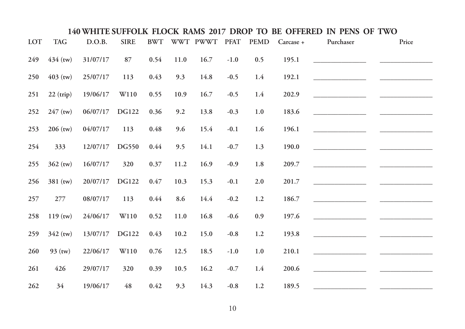| LOT | <b>TAG</b> | D.O.B.   | <b>SIRE</b>  | <b>BWT</b> |      | WWT PWWT | <b>PFAT</b> | <b>PEMD</b> | Carcase + | Purchaser | Price |
|-----|------------|----------|--------------|------------|------|----------|-------------|-------------|-----------|-----------|-------|
| 249 | $434$ (tw) | 31/07/17 | 87           | 0.54       | 11.0 | 16.7     | $-1.0$      | 0.5         | 195.1     |           |       |
| 250 | $403$ (tw) | 25/07/17 | 113          | 0.43       | 9.3  | 14.8     | $-0.5$      | 1.4         | 192.1     |           |       |
| 251 | 22 (trip)  | 19/06/17 | W110         | 0.55       | 10.9 | 16.7     | $-0.5$      | 1.4         | 202.9     |           |       |
| 252 | $247$ (tw) | 06/07/17 | <b>DG122</b> | 0.36       | 9.2  | 13.8     | $-0.3$      | $1.0\,$     | 183.6     |           |       |
| 253 | $206$ (tw) | 04/07/17 | 113          | $0.48\,$   | 9.6  | 15.4     | $-0.1$      | 1.6         | 196.1     |           |       |
| 254 | 333        | 12/07/17 | DG550        | 0.44       | 9.5  | 14.1     | $-0.7$      | 1.3         | 190.0     |           |       |
| 255 | $362$ (tw) | 16/07/17 | 320          | 0.37       | 11.2 | 16.9     | $-0.9$      | $1.8\,$     | 209.7     |           |       |
| 256 | 381 (tw)   | 20/07/17 | <b>DG122</b> | 0.47       | 10.3 | 15.3     | $-0.1$      | 2.0         | 201.7     |           |       |
| 257 | 277        | 08/07/17 | 113          | 0.44       | 8.6  | 14.4     | $-0.2$      | 1.2         | 186.7     |           |       |
| 258 | $119$ (tw) | 24/06/17 | W110         | 0.52       | 11.0 | 16.8     | $-0.6$      | 0.9         | 197.6     |           |       |
| 259 | $342$ (tw) | 13/07/17 | <b>DG122</b> | 0.43       | 10.2 | 15.0     | $-0.8$      | $1.2\,$     | 193.8     |           |       |
| 260 | $93$ (tw)  | 22/06/17 | W110         | 0.76       | 12.5 | 18.5     | $-1.0$      | $1.0\,$     | 210.1     |           |       |
| 261 | 426        | 29/07/17 | 320          | 0.39       | 10.5 | 16.2     | $-0.7$      | 1.4         | 200.6     |           |       |
| 262 | 34         | 19/06/17 | 48           | $0.42\,$   | 9.3  | 14.3     | $-0.8$      | 1.2         | 189.5     |           |       |
|     |            |          |              |            |      |          |             |             |           |           |       |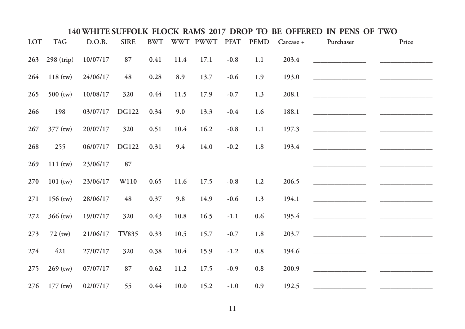| LOT | <b>TAG</b>   | D.O.B.   | <b>SIRE</b>      | <b>BWT</b> |      | WWT PWWT | <b>PFAT</b> | <b>PEMD</b> | Carcase + | Purchaser | Price |
|-----|--------------|----------|------------------|------------|------|----------|-------------|-------------|-----------|-----------|-------|
| 263 | $298$ (trip) | 10/07/17 | 87               | 0.41       | 11.4 | 17.1     | $-0.8$      | 1.1         | 203.4     |           |       |
| 264 | $118$ (tw)   | 24/06/17 | 48               | 0.28       | 8.9  | 13.7     | $-0.6$      | 1.9         | 193.0     |           |       |
| 265 | $500$ (tw)   | 10/08/17 | 320              | 0.44       | 11.5 | 17.9     | $-0.7$      | 1.3         | 208.1     |           |       |
| 266 | 198          | 03/07/17 | <b>DG122</b>     | 0.34       | 9.0  | 13.3     | $-0.4$      | 1.6         | 188.1     |           |       |
| 267 | 377 (tw)     | 20/07/17 | 320              | 0.51       | 10.4 | 16.2     | $-0.8$      | $1.1\,$     | 197.3     |           |       |
| 268 | 255          | 06/07/17 | <b>DG122</b>     | 0.31       | 9.4  | 14.0     | $-0.2$      | $1.8\,$     | 193.4     |           |       |
| 269 | $111$ (tw)   | 23/06/17 | 87               |            |      |          |             |             |           |           |       |
| 270 | $101$ (tw)   | 23/06/17 | W <sub>110</sub> | 0.65       | 11.6 | 17.5     | $-0.8$      | 1.2         | 206.5     |           |       |
| 271 | $156$ (tw)   | 28/06/17 | 48               | 0.37       | 9.8  | 14.9     | $-0.6$      | 1.3         | 194.1     |           |       |
| 272 | $366$ (tw)   | 19/07/17 | 320              | 0.43       | 10.8 | 16.5     | $-1.1$      | 0.6         | 195.4     |           |       |
| 273 | $72$ (tw)    | 21/06/17 | <b>TV835</b>     | 0.33       | 10.5 | 15.7     | $-0.7$      | 1.8         | 203.7     |           |       |
| 274 | 421          | 27/07/17 | 320              | 0.38       | 10.4 | 15.9     | $-1.2$      | $\rm 0.8$   | 194.6     |           |       |
| 275 | $269$ (tw)   | 07/07/17 | 87               | 0.62       | 11.2 | 17.5     | $-0.9$      | $\rm 0.8$   | 200.9     |           |       |
| 276 | $177$ (tw)   | 02/07/17 | 55               | 0.44       | 10.0 | 15.2     | $-1.0$      | 0.9         | 192.5     |           |       |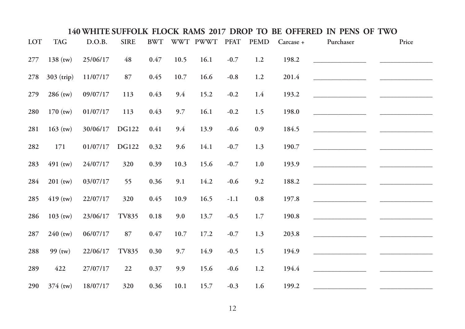| LOT | <b>TAG</b>   | D.O.B.   | <b>SIRE</b>  | <b>BWT</b> |      | WWT PWWT | <b>PFAT</b> | <b>PEMD</b> | Carcase + | Purchaser | Price |
|-----|--------------|----------|--------------|------------|------|----------|-------------|-------------|-----------|-----------|-------|
| 277 | $138$ (tw)   | 25/06/17 | 48           | 0.47       | 10.5 | 16.1     | $-0.7$      | 1.2         | 198.2     |           |       |
| 278 | $303$ (trip) | 11/07/17 | 87           | 0.45       | 10.7 | 16.6     | $-0.8$      | 1.2         | 201.4     |           |       |
| 279 | $286$ (tw)   | 09/07/17 | 113          | 0.43       | 9.4  | 15.2     | $-0.2$      | 1.4         | 193.2     |           |       |
| 280 | $170$ (tw)   | 01/07/17 | 113          | 0.43       | 9.7  | 16.1     | $-0.2$      | 1.5         | 198.0     |           |       |
| 281 | $163$ (tw)   | 30/06/17 | <b>DG122</b> | 0.41       | 9.4  | 13.9     | $-0.6$      | 0.9         | 184.5     |           |       |
| 282 | 171          | 01/07/17 | <b>DG122</b> | 0.32       | 9.6  | 14.1     | $-0.7$      | $1.3\,$     | 190.7     |           |       |
| 283 | $491$ (tw)   | 24/07/17 | 320          | 0.39       | 10.3 | 15.6     | $-0.7$      | 1.0         | 193.9     |           |       |
| 284 | $201$ (tw)   | 03/07/17 | 55           | 0.36       | 9.1  | 14.2     | $-0.6$      | 9.2         | 188.2     |           |       |
| 285 | $419$ (tw)   | 22/07/17 | 320          | 0.45       | 10.9 | 16.5     | $-1.1$      | $\rm 0.8$   | 197.8     |           |       |
| 286 | $103$ (tw)   | 23/06/17 | <b>TV835</b> | $0.18\,$   | 9.0  | 13.7     | $-0.5$      | 1.7         | 190.8     |           |       |
| 287 | $240$ (tw)   | 06/07/17 | 87           | 0.47       | 10.7 | 17.2     | $-0.7$      | 1.3         | 203.8     |           |       |
| 288 | 99 (tw)      | 22/06/17 | <b>TV835</b> | 0.30       | 9.7  | 14.9     | $-0.5$      | 1.5         | 194.9     |           |       |
| 289 | 422          | 27/07/17 | 22           | 0.37       | 9.9  | 15.6     | $-0.6$      | $1.2\,$     | 194.4     |           |       |
| 290 | $374$ (tw)   | 18/07/17 | 320          | 0.36       | 10.1 | 15.7     | $-0.3$      | 1.6         | 199.2     |           |       |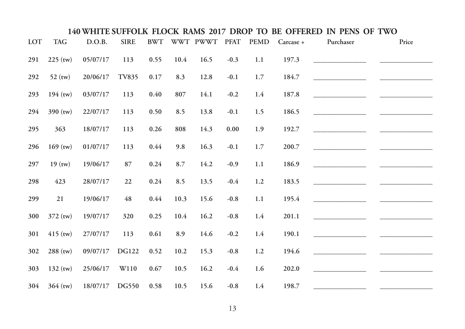| LOT | <b>TAG</b> | D.O.B.   | <b>SIRE</b>  | $\ensuremath{\mathrm{BWT}}$ |         | WWT PWWT | <b>PFAT</b> | <b>PEMD</b> | Carcase + | Purchaser | Price |
|-----|------------|----------|--------------|-----------------------------|---------|----------|-------------|-------------|-----------|-----------|-------|
| 291 | $225$ (tw) | 05/07/17 | 113          | 0.55                        | 10.4    | 16.5     | $-0.3$      | 1.1         | 197.3     |           |       |
| 292 | $52$ (tw)  | 20/06/17 | <b>TV835</b> | 0.17                        | 8.3     | 12.8     | $-0.1$      | 1.7         | 184.7     |           |       |
| 293 | $194$ (tw) | 03/07/17 | 113          | 0.40                        | 807     | 14.1     | $-0.2$      | $1.4\,$     | 187.8     |           |       |
| 294 | $390$ (tw) | 22/07/17 | 113          | 0.50                        | 8.5     | 13.8     | $-0.1$      | 1.5         | 186.5     |           |       |
| 295 | 363        | 18/07/17 | 113          | $0.26\,$                    | 808     | 14.3     | $0.00\,$    | 1.9         | 192.7     |           |       |
| 296 | $169$ (tw) | 01/07/17 | 113          | 0.44                        | 9.8     | 16.3     | $-0.1$      | 1.7         | 200.7     |           |       |
| 297 | $19$ (tw)  | 19/06/17 | 87           | 0.24                        | $8.7\,$ | 14.2     | $-0.9$      | $1.1\,$     | 186.9     |           |       |
| 298 | 423        | 28/07/17 | 22           | 0.24                        | 8.5     | 13.5     | $-0.4$      | 1.2         | 183.5     |           |       |
| 299 | 21         | 19/06/17 | 48           | 0.44                        | 10.3    | 15.6     | $-0.8$      | 1.1         | 195.4     |           |       |
| 300 | $372$ (tw) | 19/07/17 | 320          | 0.25                        | 10.4    | 16.2     | $-0.8$      | 1.4         | 201.1     |           |       |
| 301 | $415$ (tw) | 27/07/17 | 113          | 0.61                        | 8.9     | 14.6     | $-0.2$      | 1.4         | 190.1     |           |       |
| 302 | $288$ (tw) | 09/07/17 | <b>DG122</b> | 0.52                        | 10.2    | 15.3     | $-0.8$      | $1.2\,$     | 194.6     |           |       |
| 303 | $132$ (tw) | 25/06/17 | W110         | 0.67                        | 10.5    | 16.2     | $-0.4$      | 1.6         | 202.0     |           |       |
| 304 | $364$ (tw) | 18/07/17 | <b>DG550</b> | 0.58                        | 10.5    | 15.6     | $-0.8$      | 1.4         | 198.7     |           |       |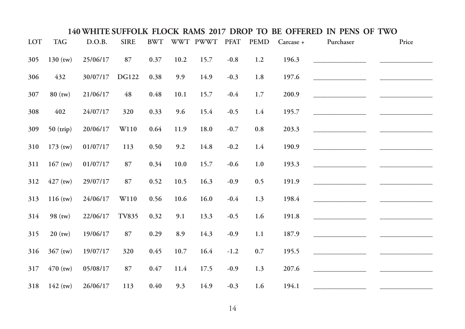| LOT | <b>TAG</b>  | D.O.B.   | <b>SIRE</b>  | $\ensuremath{\mathrm{BWT}}$ |      | WWT PWWT | <b>PFAT</b> | <b>PEMD</b> | Carcase + | Purchaser | Price |  |
|-----|-------------|----------|--------------|-----------------------------|------|----------|-------------|-------------|-----------|-----------|-------|--|
| 305 | $130$ (tw)  | 25/06/17 | 87           | 0.37                        | 10.2 | 15.7     | $-0.8$      | 1.2         | 196.3     |           |       |  |
| 306 | 432         | 30/07/17 | <b>DG122</b> | 0.38                        | 9.9  | 14.9     | $-0.3$      | $1.8\,$     | 197.6     |           |       |  |
| 307 | $80$ (tw)   | 21/06/17 | 48           | 0.48                        | 10.1 | 15.7     | $-0.4$      | $1.7\,$     | 200.9     |           |       |  |
| 308 | 402         | 24/07/17 | 320          | 0.33                        | 9.6  | 15.4     | $-0.5$      | 1.4         | 195.7     |           |       |  |
| 309 | $50$ (trip) | 20/06/17 | W110         | 0.64                        | 11.9 | 18.0     | $-0.7$      | $\rm 0.8$   | 203.3     |           |       |  |
| 310 | $173$ (tw)  | 01/07/17 | 113          | 0.50                        | 9.2  | 14.8     | $-0.2$      | 1.4         | 190.9     |           |       |  |
| 311 | $167$ (tw)  | 01/07/17 | 87           | 0.34                        | 10.0 | 15.7     | $-0.6$      | $1.0\,$     | 193.3     |           |       |  |
| 312 | $427$ (tw)  | 29/07/17 | 87           | 0.52                        | 10.5 | 16.3     | $-0.9$      | 0.5         | 191.9     |           |       |  |
| 313 | $116$ (tw)  | 24/06/17 | W110         | 0.56                        | 10.6 | 16.0     | $-0.4$      | 1.3         | 198.4     |           |       |  |
| 314 | $98$ (tw)   | 22/06/17 | TV835        | 0.32                        | 9.1  | 13.3     | $-0.5$      | 1.6         | 191.8     |           |       |  |
| 315 | $20$ (tw)   | 19/06/17 | $87\,$       | 0.29                        | 8.9  | 14.3     | $-0.9$      | $1.1\,$     | 187.9     |           |       |  |
| 316 | $367$ (tw)  | 19/07/17 | 320          | 0.45                        | 10.7 | 16.4     | $-1.2$      | $0.7\,$     | 195.5     |           |       |  |
| 317 | $470$ (tw)  | 05/08/17 | 87           | 0.47                        | 11.4 | 17.5     | $-0.9$      | 1.3         | 207.6     |           |       |  |
| 318 | $142$ (tw)  | 26/06/17 | 113          | 0.40                        | 9.3  | 14.9     | $-0.3$      | 1.6         | 194.1     |           |       |  |
|     |             |          |              |                             |      |          |             |             |           |           |       |  |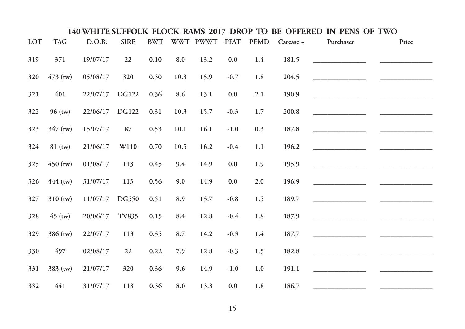| LOT | <b>TAG</b> | D.O.B.   | <b>SIRE</b>      | <b>BWT</b> |                    | WWT PWWT | <b>PFAT</b> | <b>PEMD</b> | Carcase +            | Purchaser | Price |
|-----|------------|----------|------------------|------------|--------------------|----------|-------------|-------------|----------------------|-----------|-------|
| 319 | 371        | 19/07/17 | 22               | 0.10       | $\boldsymbol{8.0}$ | 13.2     | 0.0         | $1.4\,$     | 181.5                |           |       |
| 320 | $473$ (tw) | 05/08/17 | 320              | 0.30       | 10.3               | 15.9     | $-0.7$      | 1.8         | 204.5                |           |       |
| 321 | 401        | 22/07/17 | <b>DG122</b>     | 0.36       | 8.6                | 13.1     | 0.0         | $2.1\,$     | 190.9                |           |       |
| 322 | $96$ (tw)  | 22/06/17 | <b>DG122</b>     | 0.31       | 10.3               | 15.7     | $-0.3$      | $1.7\,$     | $\boldsymbol{200.8}$ |           |       |
| 323 | 347 (tw)   | 15/07/17 | 87               | 0.53       | 10.1               | 16.1     | $-1.0$      | 0.3         | 187.8                |           |       |
| 324 | $81$ (tw)  | 21/06/17 | W <sub>110</sub> | 0.70       | 10.5               | 16.2     | $-0.4$      | 1.1         | 196.2                |           |       |
| 325 | $450$ (tw) | 01/08/17 | 113              | 0.45       | 9.4                | 14.9     | $0.0\,$     | 1.9         | 195.9                |           |       |
| 326 | $444$ (tw) | 31/07/17 | 113              | 0.56       | 9.0                | 14.9     | $0.0\,$     | $2.0$       | 196.9                |           |       |
| 327 | $310$ (tw) | 11/07/17 | DG550            | 0.51       | 8.9                | 13.7     | $-0.8$      | 1.5         | 189.7                |           |       |
| 328 | $45$ (tw)  | 20/06/17 | <b>TV835</b>     | 0.15       | 8.4                | 12.8     | $-0.4$      | $1.8\,$     | 187.9                |           |       |
| 329 | 386 (tw)   | 22/07/17 | 113              | 0.35       | 8.7                | 14.2     | $-0.3$      | 1.4         | 187.7                |           |       |
| 330 | 497        | 02/08/17 | 22               | 0.22       | 7.9                | 12.8     | $-0.3$      | 1.5         | 182.8                |           |       |
| 331 | 383 (tw)   | 21/07/17 | 320              | 0.36       | 9.6                | 14.9     | $-1.0$      | $1.0\,$     | 191.1                |           |       |
| 332 | 441        | 31/07/17 | 113              | 0.36       | 8.0                | 13.3     | 0.0         | $1.8\,$     | 186.7                |           |       |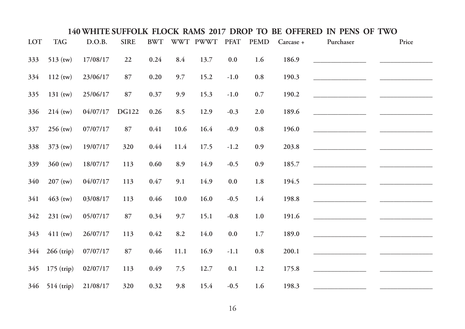| LOT | <b>TAG</b>     | D.O.B.   | <b>SIRE</b>  | <b>BWT</b> |      | WWT PWWT | <b>PFAT</b> | <b>PEMD</b> | Carcase + | Purchaser                           | Price |
|-----|----------------|----------|--------------|------------|------|----------|-------------|-------------|-----------|-------------------------------------|-------|
| 333 | $513$ (tw)     | 17/08/17 | 22           | 0.24       | 8.4  | 13.7     | 0.0         | 1.6         | 186.9     |                                     |       |
| 334 | $112$ (tw)     | 23/06/17 | 87           | $0.20\,$   | 9.7  | 15.2     | $-1.0$      | $\rm 0.8$   | 190.3     |                                     |       |
| 335 | $131$ (tw)     | 25/06/17 | 87           | 0.37       | 9.9  | 15.3     | $-1.0$      | $0.7\,$     | 190.2     | <u> 1990 - Johann Barbara, mart</u> |       |
| 336 | $214$ (tw)     | 04/07/17 | <b>DG122</b> | $0.26\,$   | 8.5  | 12.9     | $-0.3$      | $2.0\,$     | 189.6     |                                     |       |
| 337 | $256$ (tw)     | 07/07/17 | 87           | 0.41       | 10.6 | 16.4     | $-0.9$      | $\rm 0.8$   | 196.0     |                                     |       |
| 338 | 373 (tw)       | 19/07/17 | 320          | 0.44       | 11.4 | 17.5     | $-1.2$      | 0.9         | 203.8     |                                     |       |
| 339 | $360$ (tw)     | 18/07/17 | 113          | $0.60\,$   | 8.9  | 14.9     | $-0.5$      | 0.9         | 185.7     |                                     |       |
| 340 | $207$ (tw)     | 04/07/17 | 113          | $0.47\,$   | 9.1  | 14.9     | $0.0\,$     | 1.8         | 194.5     |                                     |       |
| 341 | $463$ (tw)     | 03/08/17 | 113          | 0.46       | 10.0 | 16.0     | $-0.5$      | 1.4         | 198.8     |                                     |       |
| 342 | 231 (tw)       | 05/07/17 | 87           | 0.34       | 9.7  | 15.1     | $-0.8$      | 1.0         | 191.6     |                                     |       |
| 343 | $411$ (tw)     | 26/07/17 | 113          | 0.42       | 8.2  | 14.0     | $0.0\,$     | $1.7\,$     | 189.0     |                                     |       |
| 344 | $266$ (trip)   | 07/07/17 | 87           | 0.46       | 11.1 | 16.9     | $-1.1$      | $0.8\,$     | 200.1     |                                     |       |
| 345 | $175$ (trip)   | 02/07/17 | 113          | 0.49       | 7.5  | 12.7     | $0.1\,$     | $1.2\,$     | 175.8     |                                     |       |
|     | 346 514 (trip) | 21/08/17 | 320          | 0.32       | 9.8  | 15.4     | $-0.5$      | 1.6         | 198.3     |                                     |       |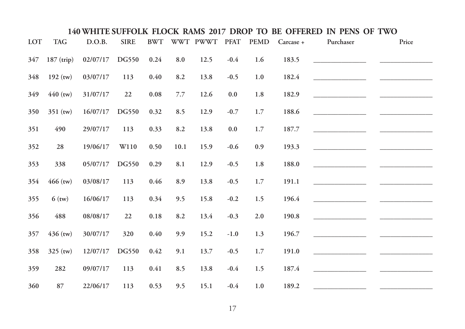| LOT | <b>TAG</b>   | D.O.B.   | <b>SIRE</b> | <b>BWT</b> |         | WWT PWWT | <b>PFAT</b> | <b>PEMD</b> | Carcase + | Purchaser | Price |
|-----|--------------|----------|-------------|------------|---------|----------|-------------|-------------|-----------|-----------|-------|
| 347 | $187$ (trip) | 02/07/17 | DG550       | 0.24       | 8.0     | 12.5     | $-0.4$      | 1.6         | 183.5     |           |       |
| 348 | $192$ (tw)   | 03/07/17 | 113         | 0.40       | 8.2     | 13.8     | $-0.5$      | 1.0         | 182.4     |           |       |
| 349 | $440$ (tw)   | 31/07/17 | 22          | 0.08       | 7.7     | 12.6     | 0.0         | $1.8\,$     | 182.9     |           |       |
| 350 | 351 (tw)     | 16/07/17 | DG550       | 0.32       | 8.5     | 12.9     | $-0.7$      | 1.7         | 188.6     |           |       |
| 351 | 490          | 29/07/17 | 113         | 0.33       | $8.2\,$ | 13.8     | $0.0\,$     | $1.7\,$     | 187.7     |           |       |
| 352 | 28           | 19/06/17 | W110        | 0.50       | 10.1    | 15.9     | $-0.6$      | 0.9         | 193.3     |           |       |
| 353 | 338          | 05/07/17 | DG550       | 0.29       | 8.1     | 12.9     | $-0.5$      | 1.8         | 188.0     |           |       |
| 354 | $466$ (tw)   | 03/08/17 | 113         | 0.46       | 8.9     | 13.8     | $-0.5$      | 1.7         | 191.1     |           |       |
| 355 | $6$ (tw)     | 16/06/17 | 113         | 0.34       | 9.5     | 15.8     | $-0.2$      | 1.5         | 196.4     |           |       |
| 356 | 488          | 08/08/17 | 22          | 0.18       | $8.2\,$ | 13.4     | $-0.3$      | 2.0         | 190.8     |           |       |
| 357 | $436$ (tw)   | 30/07/17 | 320         | 0.40       | 9.9     | 15.2     | $-1.0$      | 1.3         | 196.7     |           |       |
| 358 | $325$ (tw)   | 12/07/17 | DG550       | 0.42       | 9.1     | 13.7     | $-0.5$      | $1.7\,$     | 191.0     |           |       |
| 359 | 282          | 09/07/17 | 113         | 0.41       | 8.5     | 13.8     | $-0.4$      | 1.5         | 187.4     |           |       |
| 360 | 87           | 22/06/17 | 113         | 0.53       | 9.5     | 15.1     | $-0.4$      | 1.0         | 189.2     |           |       |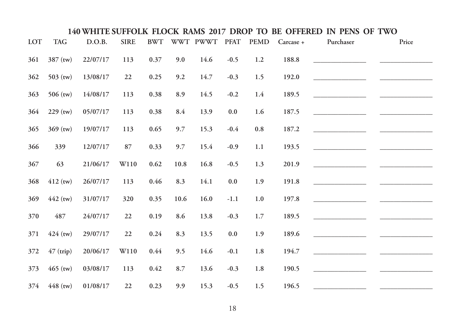| LOT | <b>TAG</b> | D.O.B.   | <b>SIRE</b> | $\ensuremath{\mathrm{BWT}}$ |      | WWT PWWT | <b>PFAT</b> | <b>PEMD</b> | Carcase + | Purchaser | Price |
|-----|------------|----------|-------------|-----------------------------|------|----------|-------------|-------------|-----------|-----------|-------|
| 361 | 387 (tw)   | 22/07/17 | 113         | 0.37                        | 9.0  | 14.6     | $-0.5$      | 1.2         | 188.8     |           |       |
| 362 | 503 (tw)   | 13/08/17 | 22          | 0.25                        | 9.2  | 14.7     | $-0.3$      | 1.5         | 192.0     |           |       |
| 363 | $506$ (tw) | 14/08/17 | 113         | 0.38                        | 8.9  | 14.5     | $-0.2$      | 1.4         | 189.5     |           |       |
| 364 | $229$ (tw) | 05/07/17 | 113         | $0.38\,$                    | 8.4  | 13.9     | $0.0\,$     | 1.6         | 187.5     |           |       |
| 365 | 369 (tw)   | 19/07/17 | 113         | 0.65                        | 9.7  | 15.3     | $-0.4$      | $\rm 0.8$   | 187.2     |           |       |
| 366 | 339        | 12/07/17 | 87          | 0.33                        | 9.7  | 15.4     | $-0.9$      | $1.1\,$     | 193.5     |           |       |
| 367 | 63         | 21/06/17 | W110        | 0.62                        | 10.8 | 16.8     | $-0.5$      | 1.3         | 201.9     |           |       |
| 368 | $412$ (tw) | 26/07/17 | 113         | 0.46                        | 8.3  | 14.1     | $0.0\,$     | 1.9         | 191.8     |           |       |
| 369 | $442$ (tw) | 31/07/17 | 320         | 0.35                        | 10.6 | 16.0     | $-1.1$      | $1.0\,$     | 197.8     |           |       |
| 370 | 487        | 24/07/17 | 22          | 0.19                        | 8.6  | 13.8     | $-0.3$      | $1.7\,$     | 189.5     |           |       |
| 371 | $424$ (tw) | 29/07/17 | 22          | 0.24                        | 8.3  | 13.5     | $0.0\,$     | 1.9         | 189.6     |           |       |
| 372 | 47 (trip)  | 20/06/17 | W110        | 0.44                        | 9.5  | 14.6     | $-0.1$      | $1.8\,$     | 194.7     |           |       |
| 373 | $465$ (tw) | 03/08/17 | 113         | $0.42\,$                    | 8.7  | 13.6     | $-0.3$      | 1.8         | 190.5     |           |       |
| 374 | $448$ (tw) | 01/08/17 | 22          | 0.23                        | 9.9  | 15.3     | $-0.5$      | 1.5         | 196.5     |           |       |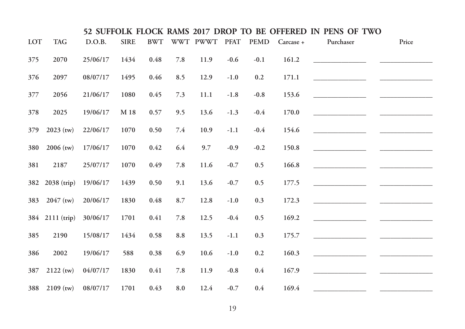|     |                 |          |             |            |     |               |        |             |           | 52 SUFFOLK FLOCK RAMS 2017 DROP TO BE OFFERED IN PENS OF TWO |       |
|-----|-----------------|----------|-------------|------------|-----|---------------|--------|-------------|-----------|--------------------------------------------------------------|-------|
| LOT | <b>TAG</b>      | D.O.B.   | <b>SIRE</b> | <b>BWT</b> |     | WWT PWWT PFAT |        | <b>PEMD</b> | Carcase + | Purchaser                                                    | Price |
| 375 | 2070            | 25/06/17 | 1434        | 0.48       | 7.8 | 11.9          | $-0.6$ | $-0.1$      | 161.2     |                                                              |       |
| 376 | 2097            | 08/07/17 | 1495        | 0.46       | 8.5 | 12.9          | $-1.0$ | 0.2         | 171.1     |                                                              |       |
| 377 | 2056            | 21/06/17 | 1080        | 0.45       | 7.3 | 11.1          | $-1.8$ | $-0.8$      | 153.6     |                                                              |       |
| 378 | 2025            | 19/06/17 | M 18        | 0.57       | 9.5 | 13.6          | $-1.3$ | $-0.4$      | 170.0     |                                                              |       |
| 379 | $2023$ (tw)     | 22/06/17 | 1070        | 0.50       | 7.4 | 10.9          | $-1.1$ | $-0.4$      | 154.6     |                                                              |       |
| 380 | $2006$ (tw)     | 17/06/17 | 1070        | 0.42       | 6.4 | 9.7           | $-0.9$ | $-0.2$      | 150.8     |                                                              |       |
| 381 | 2187            | 25/07/17 | 1070        | 0.49       | 7.8 | 11.6          | $-0.7$ | 0.5         | 166.8     |                                                              |       |
|     | 382 2038 (trip) | 19/06/17 | 1439        | 0.50       | 9.1 | 13.6          | $-0.7$ | 0.5         | 177.5     |                                                              |       |
| 383 | $2047$ (tw)     | 20/06/17 | 1830        | 0.48       | 8.7 | 12.8          | $-1.0$ | 0.3         | 172.3     |                                                              |       |
|     | 384 2111 (trip) | 30/06/17 | 1701        | 0.41       | 7.8 | 12.5          | $-0.4$ | 0.5         | 169.2     |                                                              |       |
| 385 | 2190            | 15/08/17 | 1434        | 0.58       | 8.8 | 13.5          | $-1.1$ | 0.3         | 175.7     |                                                              |       |
| 386 | 2002            | 19/06/17 | 588         | 0.38       | 6.9 | 10.6          | $-1.0$ | 0.2         | 160.3     |                                                              |       |
| 387 | $2122$ (tw)     | 04/07/17 | 1830        | 0.41       | 7.8 | 11.9          | $-0.8$ | 0.4         | 167.9     |                                                              |       |
| 388 | $2109$ (tw)     | 08/07/17 | 1701        | 0.43       | 8.0 | 12.4          | $-0.7$ | 0.4         | 169.4     |                                                              |       |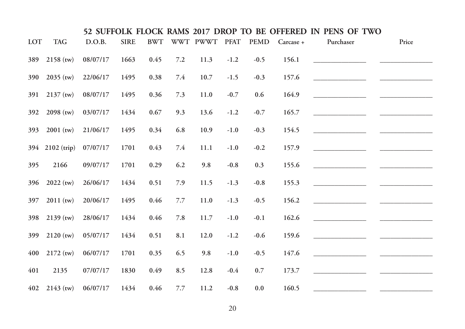|            |                 |          |             |            |     |               |        |             |           | 52 SUFFOLK FLOCK RAMS 2017 DROP TO BE OFFERED IN PENS OF TWO |       |
|------------|-----------------|----------|-------------|------------|-----|---------------|--------|-------------|-----------|--------------------------------------------------------------|-------|
| <b>LOT</b> | <b>TAG</b>      | D.O.B.   | <b>SIRE</b> | <b>BWT</b> |     | WWT PWWT PFAT |        | <b>PEMD</b> | Carcase + | Purchaser                                                    | Price |
| 389        | $2158$ (tw)     | 08/07/17 | 1663        | 0.45       | 7.2 | 11.3          | $-1.2$ | $-0.5$      | 156.1     |                                                              |       |
| 390        | $2035$ (tw)     | 22/06/17 | 1495        | 0.38       | 7.4 | 10.7          | $-1.5$ | $-0.3$      | 157.6     |                                                              |       |
| 391        | $2137$ (tw)     | 08/07/17 | 1495        | 0.36       | 7.3 | 11.0          | $-0.7$ | 0.6         | 164.9     |                                                              |       |
| 392        | $2098$ (tw)     | 03/07/17 | 1434        | 0.67       | 9.3 | 13.6          | $-1.2$ | $-0.7$      | 165.7     |                                                              |       |
| 393        | $2001$ (tw)     | 21/06/17 | 1495        | 0.34       | 6.8 | 10.9          | $-1.0$ | $-0.3$      | 154.5     |                                                              |       |
|            | 394 2102 (trip) | 07/07/17 | 1701        | 0.43       | 7.4 | 11.1          | $-1.0$ | $-0.2$      | 157.9     |                                                              |       |
| 395        | 2166            | 09/07/17 | 1701        | 0.29       | 6.2 | 9.8           | $-0.8$ | 0.3         | 155.6     |                                                              |       |
| 396        | $2022$ (tw)     | 26/06/17 | 1434        | 0.51       | 7.9 | 11.5          | $-1.3$ | $-0.8$      | 155.3     |                                                              |       |
| 397        | $2011$ (tw)     | 20/06/17 | 1495        | 0.46       | 7.7 | 11.0          | $-1.3$ | $-0.5$      | 156.2     |                                                              |       |
| 398        | $2139$ (tw)     | 28/06/17 | 1434        | 0.46       | 7.8 | 11.7          | $-1.0$ | $-0.1$      | 162.6     |                                                              |       |
| 399        | $2120$ (tw)     | 05/07/17 | 1434        | 0.51       | 8.1 | 12.0          | $-1.2$ | $-0.6$      | 159.6     |                                                              |       |
| 400        | $2172$ (tw)     | 06/07/17 | 1701        | 0.35       | 6.5 | 9.8           | $-1.0$ | $-0.5$      | 147.6     |                                                              |       |
| 401        | 2135            | 07/07/17 | 1830        | 0.49       | 8.5 | 12.8          | $-0.4$ | 0.7         | 173.7     |                                                              |       |
| 402        | $2143$ (tw)     | 06/07/17 | 1434        | 0.46       | 7.7 | 11.2          | $-0.8$ | 0.0         | 160.5     |                                                              |       |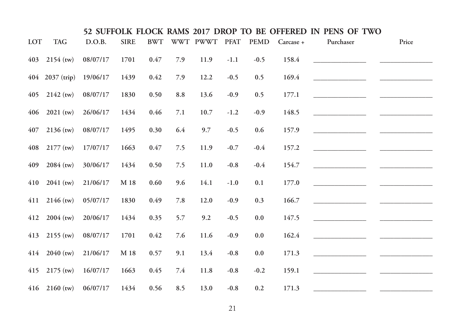|            |                          |          |             |            |     |               |        |             |           | 52 SUFFOLK FLOCK RAMS 2017 DROP TO BE OFFERED IN PENS OF TWO |       |
|------------|--------------------------|----------|-------------|------------|-----|---------------|--------|-------------|-----------|--------------------------------------------------------------|-------|
| <b>LOT</b> | <b>TAG</b>               | D.O.B.   | <b>SIRE</b> | <b>BWT</b> |     | WWT PWWT PFAT |        | <b>PEMD</b> | Carcase + | Purchaser                                                    | Price |
| 403        | $2154$ (tw)              | 08/07/17 | 1701        | 0.47       | 7.9 | 11.9          | $-1.1$ | $-0.5$      | 158.4     |                                                              |       |
|            | 404 2037 (trip)          | 19/06/17 | 1439        | 0.42       | 7.9 | 12.2          | $-0.5$ | 0.5         | 169.4     |                                                              |       |
| 405        | $2142$ (tw)              | 08/07/17 | 1830        | 0.50       | 8.8 | 13.6          | $-0.9$ | 0.5         | 177.1     |                                                              |       |
|            | $406$ 2021 (tw)          | 26/06/17 | 1434        | 0.46       | 7.1 | 10.7          | $-1.2$ | $-0.9$      | 148.5     |                                                              |       |
| 407        | $2136$ (tw)              | 08/07/17 | 1495        | 0.30       | 6.4 | 9.7           | $-0.5$ | 0.6         | 157.9     |                                                              |       |
|            | $408$ 2177 (tw)          | 17/07/17 | 1663        | 0.47       | 7.5 | 11.9          | $-0.7$ | $-0.4$      | 157.2     |                                                              |       |
| 409        | $2084$ (tw)              | 30/06/17 | 1434        | 0.50       | 7.5 | 11.0          | $-0.8$ | $-0.4$      | 154.7     |                                                              |       |
|            | $410$ 2041 (tw)          | 21/06/17 | M 18        | 0.60       | 9.6 | 14.1          | $-1.0$ | 0.1         | 177.0     |                                                              |       |
|            | $411$ 2146 (tw)          | 05/07/17 | 1830        | 0.49       | 7.8 | 12.0          | $-0.9$ | 0.3         | 166.7     |                                                              |       |
| 412        | $2004$ (tw)              | 20/06/17 | 1434        | 0.35       | 5.7 | 9.2           | $-0.5$ | $0.0\,$     | 147.5     |                                                              |       |
|            | $413$ 2155 (tw)          | 08/07/17 | 1701        | 0.42       | 7.6 | 11.6          | $-0.9$ | 0.0         | 162.4     |                                                              |       |
|            | $414$ 2040 (tw)          | 21/06/17 | M 18        | 0.57       | 9.1 | 13.4          | $-0.8$ | 0.0         | 171.3     |                                                              |       |
|            | $415$ 2175 (tw)          | 16/07/17 | 1663        | 0.45       | 7.4 | 11.8          | $-0.8$ | $-0.2$      | 159.1     |                                                              |       |
|            | $416$ 2160 (tw) 06/07/17 |          | 1434        | 0.56       | 8.5 | 13.0          | $-0.8$ | 0.2         | 171.3     |                                                              |       |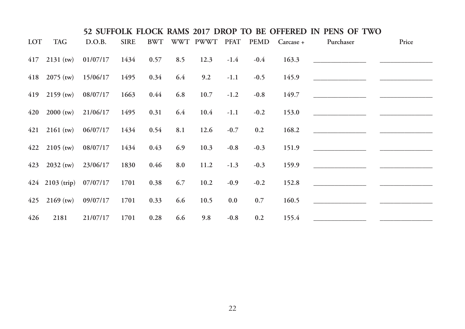|            |                          |                                                |             |      |     |      |        |        |                                  | 52 SUFFOLK FLOCK RAMS 2017 DROP TO BE OFFERED IN PENS OF TWO |       |
|------------|--------------------------|------------------------------------------------|-------------|------|-----|------|--------|--------|----------------------------------|--------------------------------------------------------------|-------|
| <b>LOT</b> | <b>TAG</b>               | D.O.B.                                         | <b>SIRE</b> |      |     |      |        |        | BWT WWT PWWT PFAT PEMD Carcase + | Purchaser                                                    | Price |
|            |                          | $417$ 2131 (tw) $01/07/17$ 1434 0.57           |             |      | 8.5 | 12.3 | $-1.4$ | $-0.4$ | 163.3                            |                                                              |       |
|            |                          | 418 $2075 \text{ (tw)}$ 15/06/17 1495 0.34 6.4 |             |      |     | 9.2  | $-1.1$ | $-0.5$ | 145.9                            |                                                              |       |
|            |                          | 419 2159 (tw) $08/07/17$ 1663 0.44             |             |      | 6.8 | 10.7 | $-1.2$ | $-0.8$ | 149.7                            |                                                              |       |
|            |                          | $420$ 2000 (tw) 21/06/17 1495                  |             | 0.31 | 6.4 | 10.4 | $-1.1$ | $-0.2$ | 153.0                            | <u> 1999 - Johann Barbara, martin a</u>                      |       |
|            |                          | $421$ 2161 (tw) $06/07/17$ 1434                |             | 0.54 | 8.1 | 12.6 | $-0.7$ | 0.2    | 168.2                            |                                                              |       |
|            |                          | $422$ 2105 (tw) 08/07/17 1434 0.43             |             |      | 6.9 | 10.3 | $-0.8$ | $-0.3$ | 151.9                            |                                                              |       |
|            | $423$ 2032 (tw) 23/06/17 |                                                | 1830        | 0.46 | 8.0 | 11.2 | $-1.3$ | $-0.3$ | 159.9                            |                                                              |       |
|            |                          | $424$ 2103 (trip) 07/07/17                     | 1701        | 0.38 | 6.7 | 10.2 | $-0.9$ | $-0.2$ | 152.8                            |                                                              |       |
|            | $425$ 2169 (tw) 09/07/17 |                                                | 1701        | 0.33 | 6.6 | 10.5 | 0.0    | 0.7    | 160.5                            |                                                              |       |
| 426        | 2181                     | 21/07/17                                       | 1701        | 0.28 | 6.6 | 9.8  | $-0.8$ | 0.2    | 155.4                            | <u> 1980 - Johann Barn, mars et al. (b. 1980).</u>           |       |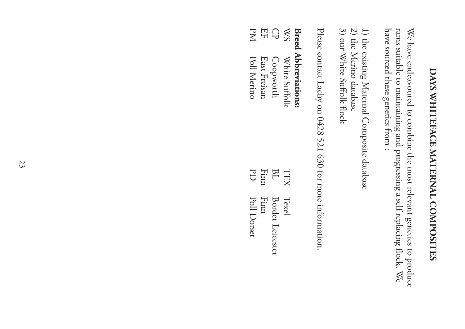# DAYS WHITERACE MATERNAL COMPOSITES **DAYS WHITEFACE MATERNAL COMPOSITES**

have sourced these genetics from : rams suitable to maintaining and progressing a self replacing flock. We have sourced these genetics from : rams suitable to maintaining and progressing a self replacing flock. We We have endeavoured to combine the most relevant genetics to produce We have endeavoured to combine the most relevant genetics to produce

- 1) the existing Maternal Composite database 1) the existing Maternal Composite database
- 2) the Merino database 2) the Merino database
- 3) our White Suffolk flock 3) our White Suffolk flock

Please contact Lachy on 0428 521 630 for more information. Please contact Lachy on 0428 521 630 for more information.

### **Breed Abbreviations: Breed Abbreviations:**

|            | 0.77771717777777777777777 |      |                  |
|------------|---------------------------|------|------------------|
| SM         | White Suffolk             |      | TEX Texel        |
| $\bigcirc$ | Coopworth                 | BL   | Border Leicester |
| EF         | East Freisan              | Finn | Finn             |
| PM         | Poll Merino               |      | PD Poll Dorset   |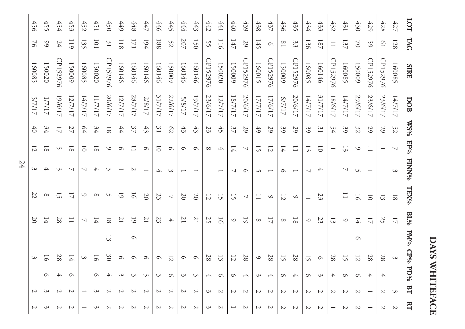|    | 456            | 455            | 454            | 453                      | 452     | 451            | 450              | 6++             | 448            | 447                      | 446            | 445                      | 444            | 443            | 442            | 1441                     | 440            | 439                      | 438            | 437                      | 436            | 435                      | 434                      | 433             | 432            | 431                      | 430            | 429                      | 428            | 427            | $\overline{5}$           |
|----|----------------|----------------|----------------|--------------------------|---------|----------------|------------------|-----------------|----------------|--------------------------|----------------|--------------------------|----------------|----------------|----------------|--------------------------|----------------|--------------------------|----------------|--------------------------|----------------|--------------------------|--------------------------|-----------------|----------------|--------------------------|----------------|--------------------------|----------------|----------------|--------------------------|
|    | $\geq$         | $\Im$          | 24             | 119                      | 135     | 101            | $\tilde{s}$      | 118             | 171            | 194                      | 188            | 52                       | 207            | 150            | 55             | 116                      | 147            | 59                       | 145            | $\circ$                  | $^{18}$        | 33                       | 136                      | 187             | $\Box$         | 137                      | 2              | 59                       | $\overline{0}$ | 128            | <b>LAG</b>               |
|    | 160085         | 150020         | CP152976       | 150009                   | 160085  | 150020         | CP152976         | 160146          | 160146         | 160146                   | 160146         | 150009                   | 160146         | 160146         | CP152976       | 150020                   | 150009         | CP152976                 | 160015         | CP152976                 | 150009         | CP152976                 | 160085                   | 160146          | CP152976       | 160085                   | 150009         | CP152976                 | CP152976       | 160085         | <b>SIRE</b>              |
|    | 5/7/17         | 1/7/17         | 19/617         | 12/7/17                  | 14/7/17 | 11/7/17        | 20/6/17          | 12/7/17         | 28/7/17        | 2/8/17                   | 31/7/17        | 22/6/17                  | 5/8/17         | 19/7/17        | 23/6/17        | 12/7/17                  | 18/7/17        | 20/6/17                  | 17/7/17        | 17/6/17                  | /11/2          | 20/6/17                  | 14/7/17                  | 31/7/17         | 18/6/17        | 14/7/17                  | 29/6/17        | 23/6/17                  | 23/6/17        | 14/7/17        | DOB                      |
|    | 40             | 34             | $\overline{L}$ | 27                       | 64      | 34             | $\overline{8}$   | 44              | 37             | $43\,$                   | $\tilde{s}$    | $\mathcal{C}2$           | $43\,$         | 43             | 23             | $45\,$                   | 37             | 59                       | 49             | 59                       | 39             | 29                       | 39                       | $\mathfrak{Z}1$ | 54             | 39                       | 32             | 29                       | 59             | 52             | $\text{WSO}_6$           |
|    | $\overline{z}$ | $\overline{8}$ | S              | $\overline{8}$           | 5       | $\overline{8}$ | $\circ$          | $\circ$         |                | $\circ$                  | ៑              | $\circ$                  | $\circ$        | $\circ$        | $\infty$       | $\overline{+}$           | $\frac{1}{4}$  | $\overline{\phantom{0}}$ | 15             | $\overline{z}$           | 14             | $\equiv$                 | $\overline{3}$           | $\overline{0}$  |                | $\overline{3}$           | $\circ$        | $\overline{\phantom{0}}$ |                | ↘              | FE%                      |
| 24 | 3              | 4              | 3              | $\overline{\phantom{0}}$ | ↘       | 4              | 3                | ىس              | $\sim$         | $\overline{\phantom{0}}$ | A.             | S                        |                |                |                | $\overline{\phantom{0}}$ | ↘              | $\circ$                  | S              | $\overline{\phantom{0}}$ | $\circ$        | $\overline{\phantom{0}}$ | $\sim$ l                 | 4               |                | $\overline{\phantom{0}}$ | S              | $\overline{\phantom{0}}$ |                | 3              | <b>FINNP/6</b>           |
|    | 22             | $\infty$       | 51             | $\overline{L}$           | $\circ$ | $\infty$       | S                | $\overline{61}$ | $\overline{6}$ | $\overline{0}$           | 23             | $\overline{\phantom{0}}$ | $\overline{0}$ | $\overline{0}$ | $\overline{z}$ | $\tilde{5}$              | 15             | ↘                        |                | $\circ$                  | $\overline{z}$ | $\circ$                  | $\overline{\phantom{0}}$ | 23              |                | $\Box$                   | $\overline{6}$ | $\overline{\circ}$       | $\overline{3}$ | $\rm ^8$       | TEX%                     |
|    | $\overline{0}$ | 14             | 28             | $\Box$                   | ↘       | 14             | $\overline{8}$   | $\overline{z}$  | $\overline{6}$ | $\overline{1}$           | 23             | $\overline{\mathcal{A}}$ | $\overline{C}$ | $\overline{C}$ | 25             | $\overline{9}$           | $\circ$        | $\overline{61}$          | $\infty$       | $\overline{L}$           | $\infty$       | $\overline{8}$           | $\circ$                  | 23              | $\overline{3}$ | $\circ$                  | Ħ              | $\overline{L}$           | 25             | $\overline{L}$ | $\mathrm{BL}\mathrm{96}$ |
|    |                |                |                |                          |         |                | $\tilde{3}$      |                 | $\circ$        |                          |                |                          |                |                |                |                          |                |                          |                |                          |                |                          |                          |                 |                |                          | $\circ$        |                          |                |                |                          |
|    | 3              | 51             | 28             | 14                       | င       | $\overline{5}$ | $\mathfrak{S}^0$ | $\circ$         | $\circ$        | $\circ$                  | $\circ$        | $\overline{z}$           | $\circ$        | $\circ$        | 28             | $\overline{3}$           | $\overline{z}$ | $28\,$                   | $\circ$        | 28                       | 15             | 28                       | 15                       | $\circ$         | 28             | 15                       | $\overline{z}$ | 28                       | 28             | 3              | PM% CP% PD%              |
|    |                | $\circ$        | ↛              | $\circ$                  |         | $\circ$        | 4                | 3               | S              | 3                        | S              | $\circ$                  | S              | 3              | 4              | $\circ$                  | $\circ$        | 4                        | S              | 4                        | $\circ$        | 4                        | $\circ$                  | 3               | 4              | $\circ$                  | $\circ$        | 4                        | ↛              |                |                          |
|    | N              | 3              | N              | N                        |         | S              | N                | N               | N              | N                        | $\overline{C}$ | N                        | $\overline{C}$ | $\overline{c}$ | S              | $\overline{c}$           | $\sim$         | N                        | $\overline{C}$ | N                        | Z              | $\overline{c}$           | N                        | N               | Z              | N                        | N              |                          | N              | 3              | $B$ T                    |
|    | N              | 3              | N              | N                        |         |                | N                | N               | N              |                          | N              |                          | N              | Z              | ပ              | N                        |                | N                        | Z              | N                        | 2              | N                        | N                        |                 |                | N                        | N              |                          | 2              | $\sim$         | $\mathbf{H}$             |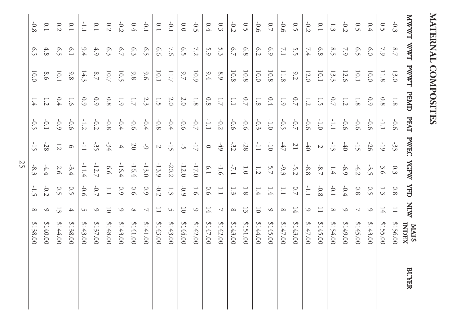MATERNAL COMPOSITES **MATERNAL COMPOSITES**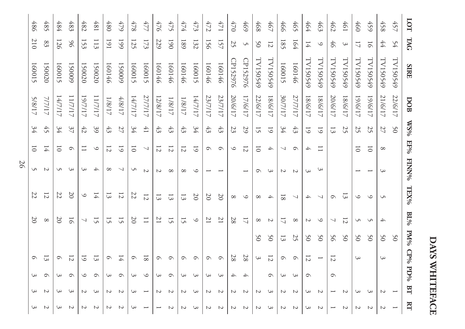| <b>TAG</b>     | <b>SIRE</b> | DOB      |                 | $EF^{0/6}$               | <b>FINN%</b>              | TEX%           | $\mathrm{BL}\mathrm{^{0}\!h}$ |                 |                          |         | BT             | $\mathbf{H}$ |
|----------------|-------------|----------|-----------------|--------------------------|---------------------------|----------------|-------------------------------|-----------------|--------------------------|---------|----------------|--------------|
| 54             | TV150549    | 22/6/17  | 50              |                          |                           |                |                               | 50              |                          |         |                |              |
| $44\,$         | TV150549    | 21/6/17  | 27              | $\infty$                 | 3                         | S              | 4                             | 50              | 3                        |         | N              |              |
| $\overline{5}$ | TV150549    | 19/617   | 25              | $\overline{0}$           |                           | $\circ$        | S                             | 50              |                          |         | ပ              |              |
| 17             | LV150549    | 19/617   | 25              | $\overline{0}$           |                           | ৩              | S                             | 50              | 3                        |         | س              |              |
| 3              | TV150549    | 18/6/17  | 25              |                          |                           |                | 12                            | 50              |                          |         | N              |              |
| 94             | TV150549    | 20/6/17  | $\tilde{3}$     |                          |                           | റ              | ↘                             | 56              | 12                       | C       |                |              |
| $\circ$        | TV150549    | 18/6/17  | $\overline{61}$ | $\equiv$                 | 3                         | ↘              | $\circ$                       | $\mathcal{S}^0$ | $\overline{\phantom{0}}$ |         | $\overline{c}$ |              |
| Ħ              | TV150549    | 18/6/17  | $\overline{5}$  | 4                        | 3                         | 4              | Z                             | 50              | $\overline{z}$           | $\circ$ | 3              |              |
| 164            | 160146      | 27/7/17  | $43\,$          | $\circ$                  | $\overline{C}$            | ↘              | $\infty$                      | 25              | $\circ$                  | 3       | N              |              |
| 185            | 160015      | 30/7/17  | 34              | ↘                        | $\sim$                    | $\overline{8}$ | ₩                             | $\overline{3}$  | $\circ$                  | S       | Z              |              |
| $\overline{z}$ | TV150549    | 18/6/17  | $\overline{61}$ | $\overline{\mathcal{A}}$ | 3                         |                | $\sim$                        | 50              | $\overline{z}$           | $\circ$ | 3              |              |
| 50             | TV150549    | 22/6/17  | 15              | $\overline{0}$           | $\circ$                   | $\infty$       | $\infty$                      | 50              | 3                        |         | Z              |              |
| S              | CP152976    | 17/6/17  | 29              | 12                       |                           | $\circ$        | $\overline{L}$                |                 | 28                       | ↛       | $\sim$         |              |
| 25             | CP152976    | 20/6/17  | 23              | $\circ$                  |                           | $^{\circ}$     | 28                            |                 | 28                       | 4       | Z              |              |
| 157            | 160146      | 23/7/17  | $43\,$          | $\circ$                  |                           | $\overline{0}$ | $\overline{C}$                |                 | $\circ$                  | S       | $\sim$         |              |
| 156            | 160146      | 23/7/17  | $43\,$          | $\circ$                  |                           | $\overline{0}$ | $\overline{C}$                |                 | $\circ$                  | S       | Z              |              |
| 132            | 160015      | 14/7/17  | 34              | $\overline{61}$          | $\circ$                   | $\overline{0}$ | $\circ$                       |                 | $\circ$                  | 3       | 3              |              |
| 189            | 160146      | $1/8/17$ | $43\,$          | $\overline{z}$           | $\infty$                  | $\overline{3}$ | 15                            |                 | $\circ$                  | ပ       | Z              |              |
| 061            | 160146      | 1/8/17   | 43              | $\overline{z}$           | $\infty$                  | $\overline{3}$ | 15                            |                 | $\circ$                  | $\circ$ | N              |              |
| 229            | 160146      | 12/8/17  | $43\,$          | $\overline{z}$           | $\boldsymbol{\mathsf{c}}$ | $\overline{3}$ | $\overline{C}$                |                 | $\circ$                  | S       | $\sim$         |              |
| 173            | 160015      | 27/7/17  | $41$            | ↘                        | $\sim$                    | $\overline{z}$ | $\Box$                        |                 | $\overline{8}$           | $\circ$ |                |              |
| 125            | 160015      | 14/7/17  | 34              | $\overline{\circ}$       | S                         | 22             | $\overline{0}$                |                 | C                        | 3       | 3              |              |
| 661            | 150009      | 4/8/17   | $\mathbb{Z}^7$  | $\overline{61}$          | $\overline{\phantom{0}}$  | $\overline{z}$ | 15                            |                 | 14                       | $\circ$ | $\overline{c}$ |              |
| 161            | 160146      | 1/8/17   | 43              | $\overline{z}$           | $\infty$                  | $\overline{3}$ | 15                            |                 | $\circ$                  | ပ       | N              |              |
| 113            | 150020      | 11/7/17  | 39              | $\circ$                  | 4                         | 14             | 51                            |                 | $\overline{3}$           | $\circ$ | 3              | N            |
| 153            | 150020      | 19/7/17  | $42$            |                          | 3                         | $\circ$        | ↘                             |                 | 5                        | $\circ$ | N              |              |
| 96             | 150009      | 11/7/17  | 37              | $\circ$                  | 3                         | $\overline{0}$ | $\overline{9}$                |                 | $\overline{z}$           | $\circ$ | 3              |              |
| 126            | 160015      | 14/7/17  | 34              | $\overline{\circ}$       | S                         | 22             | 20                            |                 | C                        | ယ       | ు              |              |
| 83             | 150020      | 7/7/17   | 45              | 14                       | N                         | $\overline{z}$ | $\infty$                      |                 | ದ                        | ᡋ       | Z              | Z            |
| 210            | 160015      | 5/8/17   | 34              | $\overline{0}$           | S                         | 22             | $\overline{0}$                |                 | $\circ$                  | 3       | 3              | 3            |
|                |             |          |                 |                          | %SM                       |                |                               |                 |                          |         | PM% CP% PD%    |              |